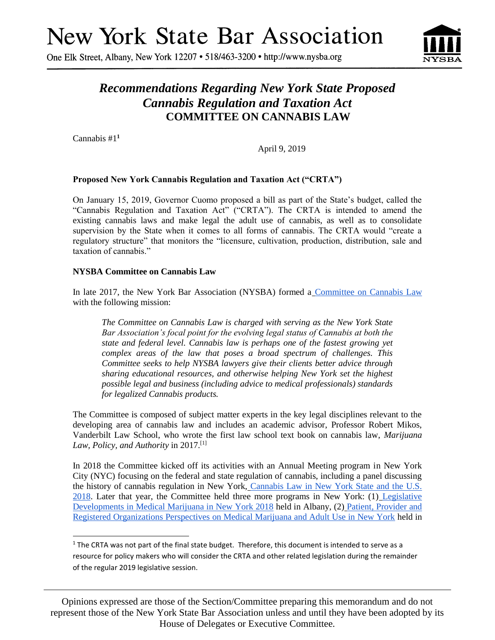# **New York State Bar Association**

One Elk Street, Albany, New York 12207 • 518/463-3200 • http://www.nysba.org



# *Recommendations Regarding New York State Proposed Cannabis Regulation and Taxation Act* **COMMITTEE ON CANNABIS LAW**

Cannabis #1 **1**

l

April 9, 2019

#### **Proposed New York Cannabis Regulation and Taxation Act ("CRTA")**

On January 15, 2019, Governor Cuomo proposed a bill as part of the State's budget, called the "Cannabis Regulation and Taxation Act" ("CRTA"). The CRTA is intended to amend the existing cannabis laws and make legal the adult use of cannabis, as well as to consolidate supervision by the State when it comes to all forms of cannabis. The CRTA would "create a regulatory structure" that monitors the "licensure, cultivation, production, distribution, sale and taxation of cannabis."

#### **NYSBA Committee on Cannabis Law**

In late 2017, the New York Bar Association (NYSBA) formed a [Committee on Cannabis Law](http://www.nysba.org/cannabislaw/) with the following mission:

*The Committee on Cannabis Law is charged with serving as the New York State Bar Association's focal point for the evolving legal status of Cannabis at both the state and federal level. Cannabis law is perhaps one of the fastest growing yet complex areas of the law that poses a broad spectrum of challenges. This Committee seeks to help NYSBA lawyers give their clients better advice through sharing educational resources, and otherwise helping New York set the highest possible legal and business (including advice to medical professionals) standards for legalized Cannabis products.*

The Committee is composed of subject matter experts in the key legal disciplines relevant to the developing area of cannabis law and includes an academic advisor, Professor Robert Mikos, Vanderbilt Law School, who wrote the first law school text book on cannabis law, *Marijuana Law, Policy, and Authority* in 2017.[1]

In 2018 the Committee kicked off its activities with an Annual Meeting program in New York City (NYC) focusing on the federal and state regulation of cannabis, including a panel discussing the history of cannabis regulation in New York, [Cannabis Law in New York State and the U.S.](http://www.nysba.org/store/detail.aspx?id=VCAN0)  [2018.](http://www.nysba.org/store/detail.aspx?id=VCAN0) Later that year, the Committee held three more programs in New York: (1) [Legislative](http://www.nysba.org/store/detail.aspx?id=VFH81)  [Developments in Medical Marijuana in New York 2018](http://www.nysba.org/store/detail.aspx?id=VFH81) held in Albany, (2) Patient, Provider and [Registered Organizations Perspectives on Medical Marijuana and Adult Use in New York](https://www.nysba.org/store/detail.aspx?id=VFJ62) held in

Opinions expressed are those of the Section/Committee preparing this memorandum and do not represent those of the New York State Bar Association unless and until they have been adopted by its House of Delegates or Executive Committee.

 $1$  The CRTA was not part of the final state budget. Therefore, this document is intended to serve as a resource for policy makers who will consider the CRTA and other related legislation during the remainder of the regular 2019 legislative session.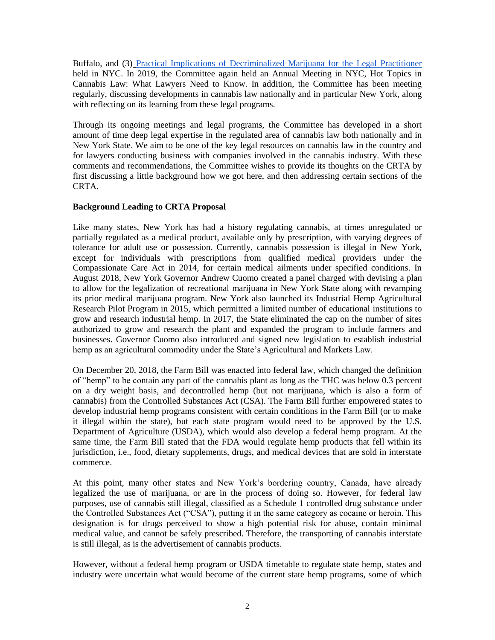Buffalo, and (3) [Practical Implications of Decriminalized Marijuana for the Legal Practitioner](https://www.nysba.org/store/detail.aspx?id=VFT14) held in NYC. In 2019, the Committee again held an Annual Meeting in NYC, Hot Topics in Cannabis Law: What Lawyers Need to Know. In addition, the Committee has been meeting regularly, discussing developments in cannabis law nationally and in particular New York, along with reflecting on its learning from these legal programs.

Through its ongoing meetings and legal programs, the Committee has developed in a short amount of time deep legal expertise in the regulated area of cannabis law both nationally and in New York State. We aim to be one of the key legal resources on cannabis law in the country and for lawyers conducting business with companies involved in the cannabis industry. With these comments and recommendations, the Committee wishes to provide its thoughts on the CRTA by first discussing a little background how we got here, and then addressing certain sections of the CRTA.

#### **Background Leading to CRTA Proposal**

Like many states, New York has had a history regulating cannabis, at times unregulated or partially regulated as a medical product, available only by prescription, with varying degrees of tolerance for adult use or possession. Currently, cannabis possession is illegal in New York, except for individuals with prescriptions from qualified medical providers under the Compassionate Care Act in 2014, for certain medical ailments under specified conditions. In August 2018, New York Governor Andrew Cuomo created a panel charged with devising a plan to allow for the legalization of recreational marijuana in New York State along with revamping its prior medical marijuana program. New York also launched its Industrial Hemp Agricultural Research Pilot Program in 2015, which permitted a limited number of educational institutions to grow and research industrial hemp. In 2017, the State eliminated the cap on the number of sites authorized to grow and research the plant and expanded the program to include farmers and businesses. Governor Cuomo also introduced and signed new legislation to establish industrial hemp as an agricultural commodity under the State's Agricultural and Markets Law.

On December 20, 2018, the Farm Bill was enacted into federal law, which changed the definition of "hemp" to be contain any part of the cannabis plant as long as the THC was below 0.3 percent on a dry weight basis, and decontrolled hemp (but not marijuana, which is also a form of cannabis) from the Controlled Substances Act (CSA). The Farm Bill further empowered states to develop industrial hemp programs consistent with certain conditions in the Farm Bill (or to make it illegal within the state), but each state program would need to be approved by the U.S. Department of Agriculture (USDA), which would also develop a federal hemp program. At the same time, the Farm Bill stated that the FDA would regulate hemp products that fell within its jurisdiction, i.e., food, dietary supplements, drugs, and medical devices that are sold in interstate commerce.

At this point, many other states and New York's bordering country, Canada, have already legalized the use of marijuana, or are in the process of doing so. However, for federal law purposes, use of cannabis still illegal, classified as a Schedule 1 controlled drug substance under the Controlled Substances Act ("CSA"), putting it in the same category as cocaine or heroin. This designation is for drugs perceived to show a high potential risk for abuse, contain minimal medical value, and cannot be safely prescribed. Therefore, the transporting of cannabis interstate is still illegal, as is the advertisement of cannabis products.

However, without a federal hemp program or USDA timetable to regulate state hemp, states and industry were uncertain what would become of the current state hemp programs, some of which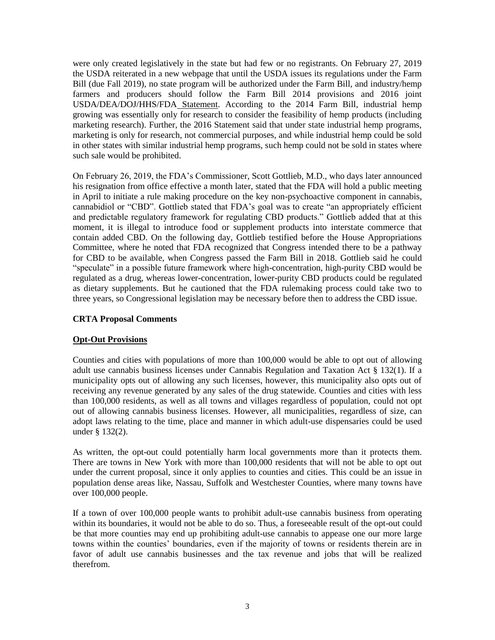were only created legislatively in the state but had few or no registrants. On February 27, 2019 the USDA reiterated in a new webpage that until the USDA issues its regulations under the Farm Bill (due Fall 2019), no state program will be authorized under the Farm Bill, and industry/hemp farmers and producers should follow the Farm Bill 2014 provisions and 2016 joint USDA/DEA/DOJ/HHS/FDA [Statement.](https://www.govinfo.gov/content/pkg/FR-2016-08-12/pdf/2016-19146.pdf) According to the 2014 Farm Bill, industrial hemp growing was essentially only for research to consider the feasibility of hemp products (including marketing research). Further, the 2016 Statement said that under state industrial hemp programs, marketing is only for research, not commercial purposes, and while industrial hemp could be sold in other states with similar industrial hemp programs, such hemp could not be sold in states where such sale would be prohibited.

On February 26, 2019, the FDA's Commissioner, Scott Gottlieb, M.D., who days later announced his resignation from office effective a month later, stated that the FDA will hold a public meeting in April to initiate a rule making procedure on the key non-psychoactive component in cannabis, cannabidiol or "CBD". Gottlieb stated that FDA's goal was to create "an appropriately efficient and predictable regulatory framework for regulating CBD products." Gottlieb added that at this moment, it is illegal to introduce food or supplement products into interstate commerce that contain added CBD. On the following day, Gottlieb testified before the House Appropriations Committee, where he noted that FDA recognized that Congress intended there to be a pathway for CBD to be available, when Congress passed the Farm Bill in 2018. Gottlieb said he could "speculate" in a possible future framework where high-concentration, high-purity CBD would be regulated as a drug, whereas lower-concentration, lower-purity CBD products could be regulated as dietary supplements. But he cautioned that the FDA rulemaking process could take two to three years, so Congressional legislation may be necessary before then to address the CBD issue.

#### **CRTA Proposal Comments**

#### **Opt-Out Provisions**

Counties and cities with populations of more than 100,000 would be able to opt out of allowing adult use cannabis business licenses under Cannabis Regulation and Taxation Act § 132(1). If a municipality opts out of allowing any such licenses, however, this municipality also opts out of receiving any revenue generated by any sales of the drug statewide. Counties and cities with less than 100,000 residents, as well as all towns and villages regardless of population, could not opt out of allowing cannabis business licenses. However, all municipalities, regardless of size, can adopt laws relating to the time, place and manner in which adult-use dispensaries could be used under § 132(2).

As written, the opt-out could potentially harm local governments more than it protects them. There are towns in New York with more than 100,000 residents that will not be able to opt out under the current proposal, since it only applies to counties and cities. This could be an issue in population dense areas like, Nassau, Suffolk and Westchester Counties, where many towns have over 100,000 people.

If a town of over 100,000 people wants to prohibit adult-use cannabis business from operating within its boundaries, it would not be able to do so. Thus, a foreseeable result of the opt-out could be that more counties may end up prohibiting adult-use cannabis to appease one our more large towns within the counties' boundaries, even if the majority of towns or residents therein are in favor of adult use cannabis businesses and the tax revenue and jobs that will be realized therefrom.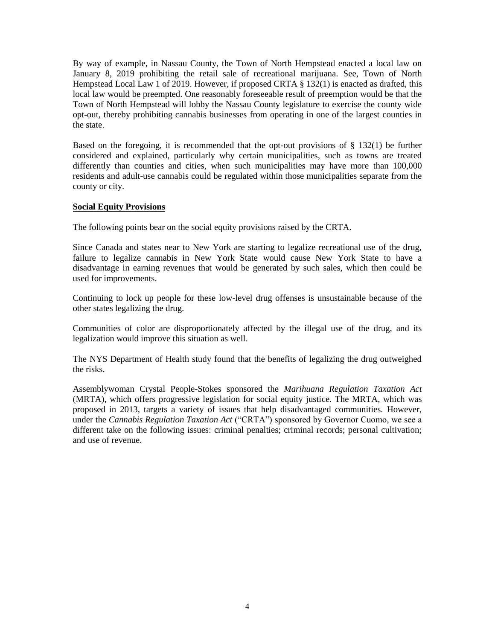By way of example, in Nassau County, the Town of North Hempstead enacted a local law on January 8, 2019 prohibiting the retail sale of recreational marijuana. See, Town of North Hempstead Local Law 1 of 2019. However, if proposed CRTA § 132(1) is enacted as drafted, this local law would be preempted. One reasonably foreseeable result of preemption would be that the Town of North Hempstead will lobby the Nassau County legislature to exercise the county wide opt-out, thereby prohibiting cannabis businesses from operating in one of the largest counties in the state.

Based on the foregoing, it is recommended that the opt-out provisions of § 132(1) be further considered and explained, particularly why certain municipalities, such as towns are treated differently than counties and cities, when such municipalities may have more than 100,000 residents and adult-use cannabis could be regulated within those municipalities separate from the county or city.

#### **Social Equity Provisions**

The following points bear on the social equity provisions raised by the CRTA.

Since Canada and states near to New York are starting to legalize recreational use of the drug, failure to legalize cannabis in New York State would cause New York State to have a disadvantage in earning revenues that would be generated by such sales, which then could be used for improvements.

Continuing to lock up people for these low-level drug offenses is unsustainable because of the other states legalizing the drug.

Communities of color are disproportionately affected by the illegal use of the drug, and its legalization would improve this situation as well.

The NYS Department of Health study found that the benefits of legalizing the drug outweighed the risks.

Assemblywoman Crystal People-Stokes sponsored the *Marihuana Regulation Taxation Act* (MRTA), which offers progressive legislation for social equity justice. The MRTA, which was proposed in 2013, targets a variety of issues that help disadvantaged communities. However, under the *Cannabis Regulation Taxation Act* ("CRTA") sponsored by Governor Cuomo, we see a different take on the following issues: criminal penalties; criminal records; personal cultivation; and use of revenue.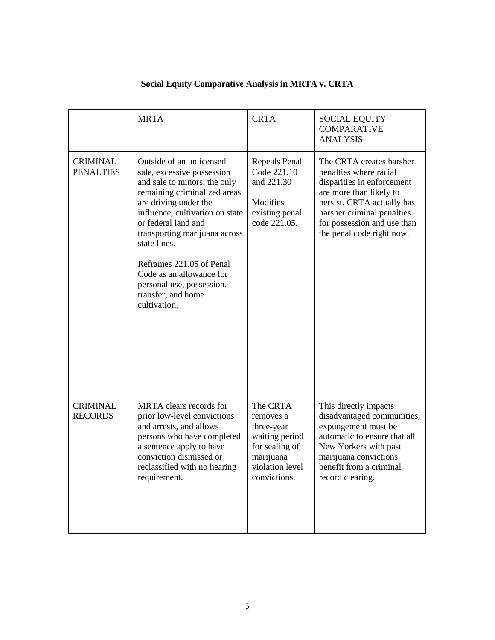|                                     | <b>MRTA</b>                                                                                                                                                                                                                                                                                                                                                                           | <b>CRTA</b>                                                                                                             | <b>SOCIAL EQUITY</b><br><b>COMPARATIVE</b><br><b>ANALYSIS</b>                                                                                                                                                                       |
|-------------------------------------|---------------------------------------------------------------------------------------------------------------------------------------------------------------------------------------------------------------------------------------------------------------------------------------------------------------------------------------------------------------------------------------|-------------------------------------------------------------------------------------------------------------------------|-------------------------------------------------------------------------------------------------------------------------------------------------------------------------------------------------------------------------------------|
| <b>CRIMINAL</b><br><b>PENALTIES</b> | Outside of an unlicensed<br>sale, excessive possession<br>and sale to minors, the only<br>remaining criminalized areas<br>are driving under the<br>influence, cultivation on state<br>or federal land and<br>transporting marijuana across<br>state lines.<br>Reframes 221.05 of Penal<br>Code as an allowance for<br>personal use, possession,<br>transfer, and home<br>cultivation. | Repeals Penal<br>Code 221.10<br>and 221.30<br>Modifies<br>existing penal<br>code 221.05.                                | The CRTA creates harsher<br>penalties where racial<br>disparities in enforcement<br>are more than likely to<br>persist. CRTA actually has<br>harsher criminal penalties<br>for possession and use than<br>the penal code right now. |
| <b>CRIMINAL</b><br><b>RECORDS</b>   | MRTA clears records for<br>prior low-level convictions<br>and arrests, and allows<br>persons who have completed<br>a sentence apply to have<br>conviction dismissed or<br>reclassified with no hearing<br>requirement.                                                                                                                                                                | The CRTA<br>removes a<br>three-year<br>waiting period<br>for sealing of<br>marijuana<br>violation level<br>convictions. | This directly impacts<br>disadvantaged communities,<br>expungement must be<br>automatic to ensure that all<br>New Yorkers with past<br>marijuana convictions<br>benefit from a criminal<br>record clearing.                         |

## **Social Equity Comparative Analysis in MRTA v. CRTA**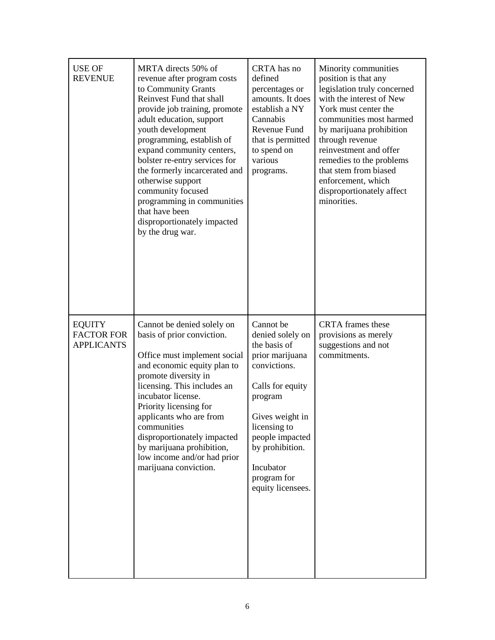| <b>USE OF</b><br><b>REVENUE</b>                         | MRTA directs 50% of<br>revenue after program costs<br>to Community Grants<br>Reinvest Fund that shall<br>provide job training, promote<br>adult education, support<br>youth development<br>programming, establish of<br>expand community centers,<br>bolster re-entry services for<br>the formerly incarcerated and<br>otherwise support<br>community focused<br>programming in communities<br>that have been<br>disproportionately impacted<br>by the drug war. | CRTA has no<br>defined<br>percentages or<br>amounts. It does<br>establish a NY<br>Cannabis<br>Revenue Fund<br>that is permitted<br>to spend on<br>various<br>programs.                                                                    | Minority communities<br>position is that any<br>legislation truly concerned<br>with the interest of New<br>York must center the<br>communities most harmed<br>by marijuana prohibition<br>through revenue<br>reinvestment and offer<br>remedies to the problems<br>that stem from biased<br>enforcement, which<br>disproportionately affect<br>minorities. |
|---------------------------------------------------------|------------------------------------------------------------------------------------------------------------------------------------------------------------------------------------------------------------------------------------------------------------------------------------------------------------------------------------------------------------------------------------------------------------------------------------------------------------------|-------------------------------------------------------------------------------------------------------------------------------------------------------------------------------------------------------------------------------------------|------------------------------------------------------------------------------------------------------------------------------------------------------------------------------------------------------------------------------------------------------------------------------------------------------------------------------------------------------------|
| <b>EQUITY</b><br><b>FACTOR FOR</b><br><b>APPLICANTS</b> | Cannot be denied solely on<br>basis of prior conviction.<br>Office must implement social<br>and economic equity plan to<br>promote diversity in<br>licensing. This includes an<br>incubator license.<br>Priority licensing for<br>applicants who are from<br>communities<br>disproportionately impacted<br>by marijuana prohibition,<br>low income and/or had prior<br>marijuana conviction.                                                                     | Cannot be<br>denied solely on<br>the basis of<br>prior marijuana<br>convictions.<br>Calls for equity<br>program<br>Gives weight in<br>licensing to<br>people impacted<br>by prohibition.<br>Incubator<br>program for<br>equity licensees. | <b>CRTA</b> frames these<br>provisions as merely<br>suggestions and not<br>commitments.                                                                                                                                                                                                                                                                    |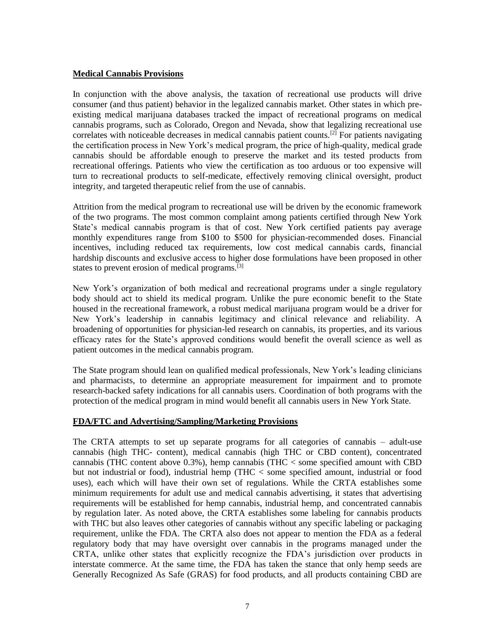#### **Medical Cannabis Provisions**

In conjunction with the above analysis, the taxation of recreational use products will drive consumer (and thus patient) behavior in the legalized cannabis market. Other states in which preexisting medical marijuana databases tracked the impact of recreational programs on medical cannabis programs, such as Colorado, Oregon and Nevada, show that legalizing recreational use correlates with noticeable decreases in medical cannabis patient counts.<sup>[2]</sup> For patients navigating the certification process in New York's medical program, the price of high-quality, medical grade cannabis should be affordable enough to preserve the market and its tested products from recreational offerings. Patients who view the certification as too arduous or too expensive will turn to recreational products to self-medicate, effectively removing clinical oversight, product integrity, and targeted therapeutic relief from the use of cannabis.

Attrition from the medical program to recreational use will be driven by the economic framework of the two programs. The most common complaint among patients certified through New York State's medical cannabis program is that of cost. New York certified patients pay average monthly expenditures range from \$100 to \$500 for physician-recommended doses. Financial incentives, including reduced tax requirements, low cost medical cannabis cards, financial hardship discounts and exclusive access to higher dose formulations have been proposed in other states to prevent erosion of medical programs.<sup>[3]</sup>

New York's organization of both medical and recreational programs under a single regulatory body should act to shield its medical program. Unlike the pure economic benefit to the State housed in the recreational framework, a robust medical marijuana program would be a driver for New York's leadership in cannabis legitimacy and clinical relevance and reliability. A broadening of opportunities for physician-led research on cannabis, its properties, and its various efficacy rates for the State's approved conditions would benefit the overall science as well as patient outcomes in the medical cannabis program.

The State program should lean on qualified medical professionals, New York's leading clinicians and pharmacists, to determine an appropriate measurement for impairment and to promote research-backed safety indications for all cannabis users. Coordination of both programs with the protection of the medical program in mind would benefit all cannabis users in New York State.

#### **FDA/FTC and Advertising/Sampling/Marketing Provisions**

The CRTA attempts to set up separate programs for all categories of cannabis – adult-use cannabis (high THC- content), medical cannabis (high THC or CBD content), concentrated cannabis (THC content above 0.3%), hemp cannabis (THC < some specified amount with CBD but not industrial or food), industrial hemp (THC < some specified amount, industrial or food uses), each which will have their own set of regulations. While the CRTA establishes some minimum requirements for adult use and medical cannabis advertising, it states that advertising requirements will be established for hemp cannabis, industrial hemp, and concentrated cannabis by regulation later. As noted above, the CRTA establishes some labeling for cannabis products with THC but also leaves other categories of cannabis without any specific labeling or packaging requirement, unlike the FDA. The CRTA also does not appear to mention the FDA as a federal regulatory body that may have oversight over cannabis in the programs managed under the CRTA, unlike other states that explicitly recognize the FDA's jurisdiction over products in interstate commerce. At the same time, the FDA has taken the stance that only hemp seeds are Generally Recognized As Safe (GRAS) for food products, and all products containing CBD are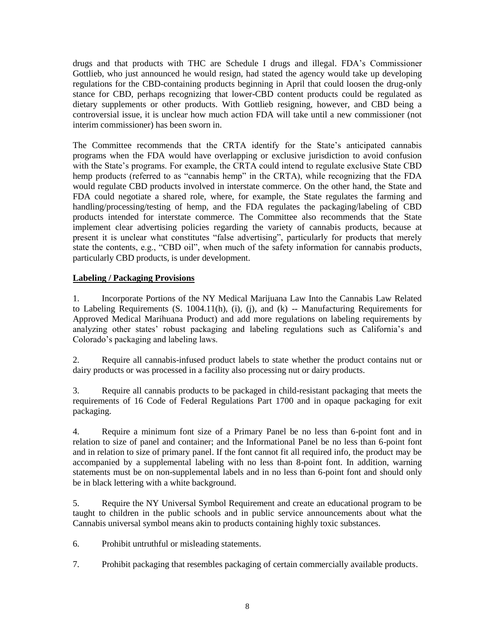drugs and that products with THC are Schedule I drugs and illegal. FDA's Commissioner Gottlieb, who just announced he would resign, had stated the agency would take up developing regulations for the CBD-containing products beginning in April that could loosen the drug-only stance for CBD, perhaps recognizing that lower-CBD content products could be regulated as dietary supplements or other products. With Gottlieb resigning, however, and CBD being a controversial issue, it is unclear how much action FDA will take until a new commissioner (not interim commissioner) has been sworn in.

The Committee recommends that the CRTA identify for the State's anticipated cannabis programs when the FDA would have overlapping or exclusive jurisdiction to avoid confusion with the State's programs. For example, the CRTA could intend to regulate exclusive State CBD hemp products (referred to as "cannabis hemp" in the CRTA), while recognizing that the FDA would regulate CBD products involved in interstate commerce. On the other hand, the State and FDA could negotiate a shared role, where, for example, the State regulates the farming and handling/processing/testing of hemp, and the FDA regulates the packaging/labeling of CBD products intended for interstate commerce. The Committee also recommends that the State implement clear advertising policies regarding the variety of cannabis products, because at present it is unclear what constitutes "false advertising", particularly for products that merely state the contents, e.g., "CBD oil", when much of the safety information for cannabis products, particularly CBD products, is under development.

#### **Labeling / Packaging Provisions**

1. Incorporate Portions of the NY Medical Marijuana Law Into the Cannabis Law Related to Labeling Requirements  $(S, 1004.11(h), (i), (i),$  and  $(k)$  -- Manufacturing Requirements for Approved Medical Marihuana Product) and add more regulations on labeling requirements by analyzing other states' robust packaging and labeling regulations such as California's and Colorado's packaging and labeling laws.

2. Require all cannabis-infused product labels to state whether the product contains nut or dairy products or was processed in a facility also processing nut or dairy products.

3. Require all cannabis products to be packaged in child-resistant packaging that meets the requirements of 16 Code of Federal Regulations Part 1700 and in opaque packaging for exit packaging.

4. Require a minimum font size of a Primary Panel be no less than 6-point font and in relation to size of panel and container; and the Informational Panel be no less than 6-point font and in relation to size of primary panel. If the font cannot fit all required info, the product may be accompanied by a supplemental labeling with no less than 8-point font. In addition, warning statements must be on non-supplemental labels and in no less than 6-point font and should only be in black lettering with a white background.

5. Require the NY Universal Symbol Requirement and create an educational program to be taught to children in the public schools and in public service announcements about what the Cannabis universal symbol means akin to products containing highly toxic substances.

6. Prohibit untruthful or misleading statements.

7. Prohibit packaging that resembles packaging of certain commercially available products.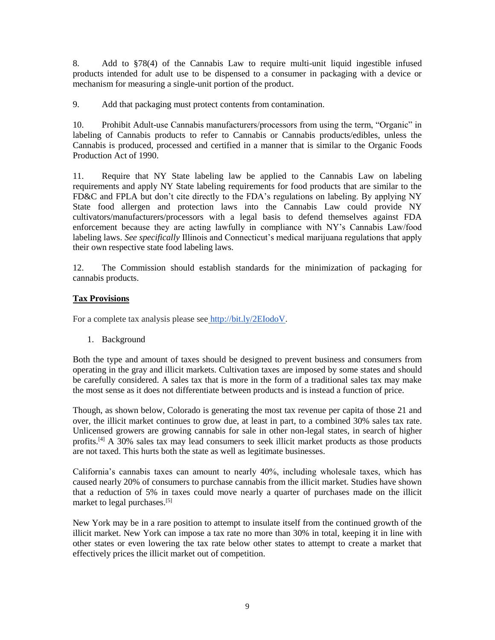8. Add to §78(4) of the Cannabis Law to require multi-unit liquid ingestible infused products intended for adult use to be dispensed to a consumer in packaging with a device or mechanism for measuring a single-unit portion of the product.

9. Add that packaging must protect contents from contamination.

10. Prohibit Adult-use Cannabis manufacturers/processors from using the term, "Organic" in labeling of Cannabis products to refer to Cannabis or Cannabis products/edibles, unless the Cannabis is produced, processed and certified in a manner that is similar to the Organic Foods Production Act of 1990.

11. Require that NY State labeling law be applied to the Cannabis Law on labeling requirements and apply NY State labeling requirements for food products that are similar to the FD&C and FPLA but don't cite directly to the FDA's regulations on labeling. By applying NY State food allergen and protection laws into the Cannabis Law could provide NY cultivators/manufacturers/processors with a legal basis to defend themselves against FDA enforcement because they are acting lawfully in compliance with NY's Cannabis Law/food labeling laws. *See specifically* Illinois and Connecticut's medical marijuana regulations that apply their own respective state food labeling laws.

12. The Commission should establish standards for the minimization of packaging for cannabis products.

#### **Tax Provisions**

For a complete tax analysis please see [http://bit.ly/2EIodoV.](http://bit.ly/2EIodoV)

1. Background

Both the type and amount of taxes should be designed to prevent business and consumers from operating in the gray and illicit markets. Cultivation taxes are imposed by some states and should be carefully considered. A sales tax that is more in the form of a traditional sales tax may make the most sense as it does not differentiate between products and is instead a function of price.

Though, as shown below, Colorado is generating the most tax revenue per capita of those 21 and over, the illicit market continues to grow due, at least in part, to a combined 30% sales tax rate. Unlicensed growers are growing cannabis for sale in other non-legal states, in search of higher profits.<sup>[4]</sup> A  $30\%$  sales tax may lead consumers to seek illicit market products as those products are not taxed. This hurts both the state as well as legitimate businesses.

California's cannabis taxes can amount to nearly 40%, including wholesale taxes, which has caused nearly 20% of consumers to purchase cannabis from the illicit market. Studies have shown that a reduction of 5% in taxes could move nearly a quarter of purchases made on the illicit market to legal purchases.<sup>[5]</sup>

New York may be in a rare position to attempt to insulate itself from the continued growth of the illicit market. New York can impose a tax rate no more than 30% in total, keeping it in line with other states or even lowering the tax rate below other states to attempt to create a market that effectively prices the illicit market out of competition.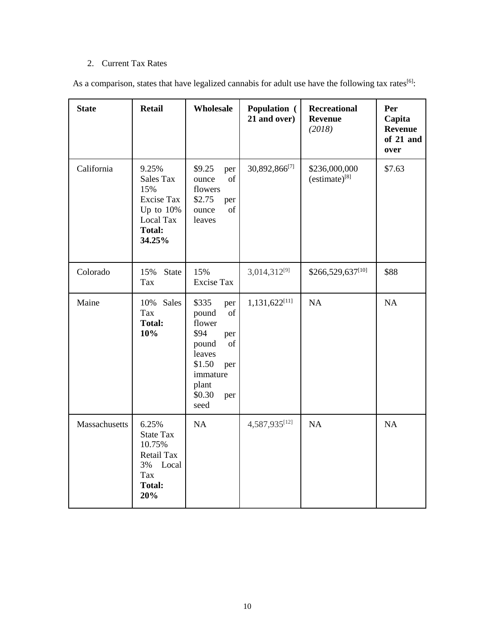### 2. Current Tax Rates

As a comparison, states that have legalized cannabis for adult use have the following tax rates<sup>[6]</sup>:

| <b>State</b>  | <b>Retail</b>                                                                                                | Wholesale                                                                                                                                                                                                                                    | <b>Population</b> (<br>21 and over) | <b>Recreational</b><br><b>Revenue</b><br>(2018) | Per<br>Capita<br><b>Revenue</b><br>of 21 and<br>over |
|---------------|--------------------------------------------------------------------------------------------------------------|----------------------------------------------------------------------------------------------------------------------------------------------------------------------------------------------------------------------------------------------|-------------------------------------|-------------------------------------------------|------------------------------------------------------|
| California    | 9.25%<br><b>Sales Tax</b><br>15%<br><b>Excise Tax</b><br>Up to $10%$<br>Local Tax<br><b>Total:</b><br>34.25% | \$9.25<br>per<br>of<br>ounce<br>flowers<br>\$2.75<br>per<br>of<br>ounce<br>leaves                                                                                                                                                            | 30,892,866[7]                       | \$236,000,000<br>$(estimate)^{[8]}$             | \$7.63                                               |
| Colorado      | 15%<br><b>State</b><br>Tax                                                                                   | 15%<br><b>Excise Tax</b>                                                                                                                                                                                                                     | 3,014,312[9]                        | \$266,529,637[10]                               | \$88                                                 |
| Maine         | 10% Sales<br>Tax<br><b>Total:</b><br>10%                                                                     | \$335<br>per<br>$% \left( \left( \mathcal{A},\mathcal{A}\right) \right) =\left( \mathcal{A},\mathcal{A}\right)$ of<br>pound<br>flower<br>\$94<br>per<br>of<br>pound<br>leaves<br>\$1.50<br>per<br>immature<br>plant<br>\$0.30<br>per<br>seed | 1,131,622[11]                       | NA                                              | NA                                                   |
| Massachusetts | 6.25%<br><b>State Tax</b><br>10.75%<br>Retail Tax<br>3%<br>Local<br>Tax<br><b>Total:</b><br>20%              | NA                                                                                                                                                                                                                                           | 4,587,935[12]                       | NA                                              | NA                                                   |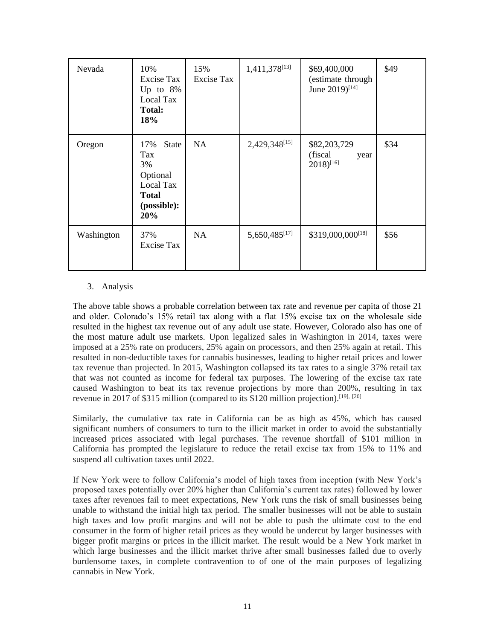| Nevada     | 10%<br>Excise Tax<br>Up to $8\%$<br>Local Tax<br><b>Total:</b><br>18%                    | 15%<br>Excise Tax | 1,411,378 <sup>[13]</sup> | \$69,400,000<br>(estimate through<br>June 2019)[14]        | \$49 |
|------------|------------------------------------------------------------------------------------------|-------------------|---------------------------|------------------------------------------------------------|------|
| Oregon     | State<br>17%<br>Tax<br>3%<br>Optional<br>Local Tax<br><b>Total</b><br>(possible):<br>20% | NA                | 2,429,348[15]             | \$82,203,729<br>(fiscal)<br>year<br>$2018$ <sup>[16]</sup> | \$34 |
| Washington | 37%<br>Excise Tax                                                                        | NA                | 5,650,485[17]             | \$319,000,000 <sup>[18]</sup>                              | \$56 |

#### 3. Analysis

The above table shows a probable correlation between tax rate and revenue per capita of those 21 and older. Colorado's 15% retail tax along with a flat 15% excise tax on the wholesale side resulted in the highest tax revenue out of any adult use state. However, Colorado also has one of the most mature adult use markets. Upon legalized sales in Washington in 2014, taxes were imposed at a 25% rate on producers, 25% again on processors, and then 25% again at retail. This resulted in non-deductible taxes for cannabis businesses, leading to higher retail prices and lower tax revenue than projected. In 2015, Washington collapsed its tax rates to a single 37% retail tax that was not counted as income for federal tax purposes. The lowering of the excise tax rate caused Washington to beat its tax revenue projections by more than 200%, resulting in tax revenue in 2017 of \$315 million (compared to its \$120 million projection).<sup>[19], [20]</sup>

Similarly, the cumulative tax rate in California can be as high as 45%, which has caused significant numbers of consumers to turn to the illicit market in order to avoid the substantially increased prices associated with legal purchases. The revenue shortfall of \$101 million in California has prompted the legislature to reduce the retail excise tax from 15% to 11% and suspend all cultivation taxes until 2022.

If New York were to follow California's model of high taxes from inception (with New York's proposed taxes potentially over 20% higher than California's current tax rates) followed by lower taxes after revenues fail to meet expectations, New York runs the risk of small businesses being unable to withstand the initial high tax period. The smaller businesses will not be able to sustain high taxes and low profit margins and will not be able to push the ultimate cost to the end consumer in the form of higher retail prices as they would be undercut by larger businesses with bigger profit margins or prices in the illicit market. The result would be a New York market in which large businesses and the illicit market thrive after small businesses failed due to overly burdensome taxes, in complete contravention to of one of the main purposes of legalizing cannabis in New York.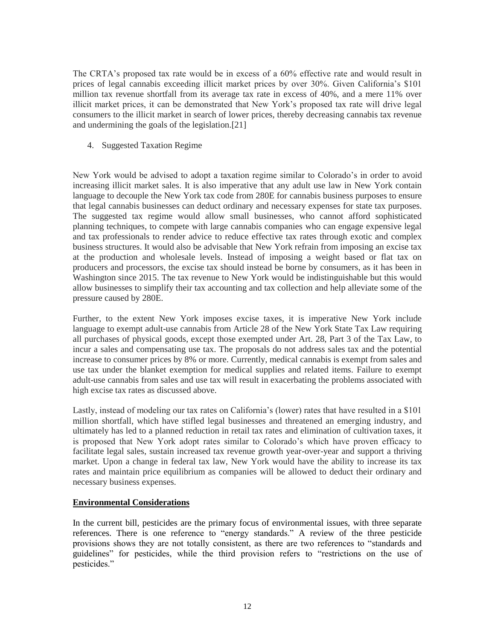The CRTA's proposed tax rate would be in excess of a 60% effective rate and would result in prices of legal cannabis exceeding illicit market prices by over 30%. Given California's \$101 million tax revenue shortfall from its average tax rate in excess of 40%, and a mere 11% over illicit market prices, it can be demonstrated that New York's proposed tax rate will drive legal consumers to the illicit market in search of lower prices, thereby decreasing cannabis tax revenue and undermining the goals of the legislation.[21]

4. Suggested Taxation Regime

New York would be advised to adopt a taxation regime similar to Colorado's in order to avoid increasing illicit market sales. It is also imperative that any adult use law in New York contain language to decouple the New York tax code from 280E for cannabis business purposes to ensure that legal cannabis businesses can deduct ordinary and necessary expenses for state tax purposes. The suggested tax regime would allow small businesses, who cannot afford sophisticated planning techniques, to compete with large cannabis companies who can engage expensive legal and tax professionals to render advice to reduce effective tax rates through exotic and complex business structures. It would also be advisable that New York refrain from imposing an excise tax at the production and wholesale levels. Instead of imposing a weight based or flat tax on producers and processors, the excise tax should instead be borne by consumers, as it has been in Washington since 2015. The tax revenue to New York would be indistinguishable but this would allow businesses to simplify their tax accounting and tax collection and help alleviate some of the pressure caused by 280E.

Further, to the extent New York imposes excise taxes, it is imperative New York include language to exempt adult-use cannabis from Article 28 of the New York State Tax Law requiring all purchases of physical goods, except those exempted under Art. 28, Part 3 of the Tax Law, to incur a sales and compensating use tax. The proposals do not address sales tax and the potential increase to consumer prices by 8% or more. Currently, medical cannabis is exempt from sales and use tax under the blanket exemption for medical supplies and related items. Failure to exempt adult-use cannabis from sales and use tax will result in exacerbating the problems associated with high excise tax rates as discussed above.

Lastly, instead of modeling our tax rates on California's (lower) rates that have resulted in a \$101 million shortfall, which have stifled legal businesses and threatened an emerging industry, and ultimately has led to a planned reduction in retail tax rates and elimination of cultivation taxes, it is proposed that New York adopt rates similar to Colorado's which have proven efficacy to facilitate legal sales, sustain increased tax revenue growth year-over-year and support a thriving market. Upon a change in federal tax law, New York would have the ability to increase its tax rates and maintain price equilibrium as companies will be allowed to deduct their ordinary and necessary business expenses.

#### **Environmental Considerations**

In the current bill, pesticides are the primary focus of environmental issues, with three separate references. There is one reference to "energy standards." A review of the three pesticide provisions shows they are not totally consistent, as there are two references to "standards and guidelines" for pesticides, while the third provision refers to "restrictions on the use of pesticides."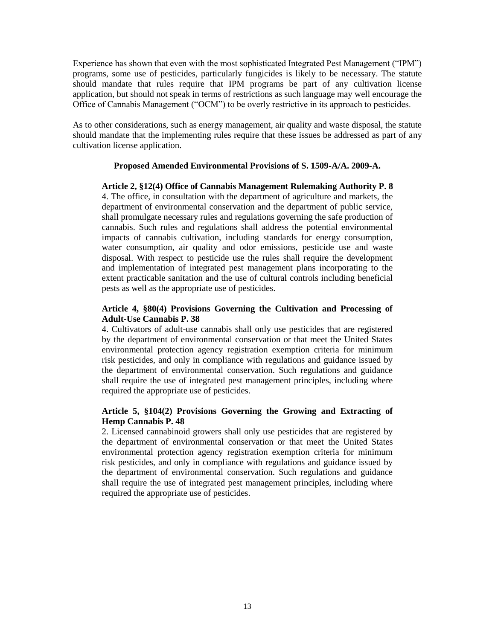Experience has shown that even with the most sophisticated Integrated Pest Management ("IPM") programs, some use of pesticides, particularly fungicides is likely to be necessary. The statute should mandate that rules require that IPM programs be part of any cultivation license application, but should not speak in terms of restrictions as such language may well encourage the Office of Cannabis Management ("OCM") to be overly restrictive in its approach to pesticides.

As to other considerations, such as energy management, air quality and waste disposal, the statute should mandate that the implementing rules require that these issues be addressed as part of any cultivation license application.

#### **Proposed Amended Environmental Provisions of S. 1509-A/A. 2009-A.**

**Article 2, §12(4) Office of Cannabis Management Rulemaking Authority P. 8** 4. The office, in consultation with the department of agriculture and markets, the department of environmental conservation and the department of public service, shall promulgate necessary rules and regulations governing the safe production of cannabis. Such rules and regulations shall address the potential environmental impacts of cannabis cultivation, including standards for energy consumption, water consumption, air quality and odor emissions, pesticide use and waste disposal. With respect to pesticide use the rules shall require the development and implementation of integrated pest management plans incorporating to the extent practicable sanitation and the use of cultural controls including beneficial pests as well as the appropriate use of pesticides.

#### **Article 4, §80(4) Provisions Governing the Cultivation and Processing of Adult-Use Cannabis P. 38**

4. Cultivators of adult-use cannabis shall only use pesticides that are registered by the department of environmental conservation or that meet the United States environmental protection agency registration exemption criteria for minimum risk pesticides, and only in compliance with regulations and guidance issued by the department of environmental conservation. Such regulations and guidance shall require the use of integrated pest management principles, including where required the appropriate use of pesticides.

#### **Article 5, §104(2) Provisions Governing the Growing and Extracting of Hemp Cannabis P. 48**

2. Licensed cannabinoid growers shall only use pesticides that are registered by the department of environmental conservation or that meet the United States environmental protection agency registration exemption criteria for minimum risk pesticides, and only in compliance with regulations and guidance issued by the department of environmental conservation. Such regulations and guidance shall require the use of integrated pest management principles, including where required the appropriate use of pesticides.